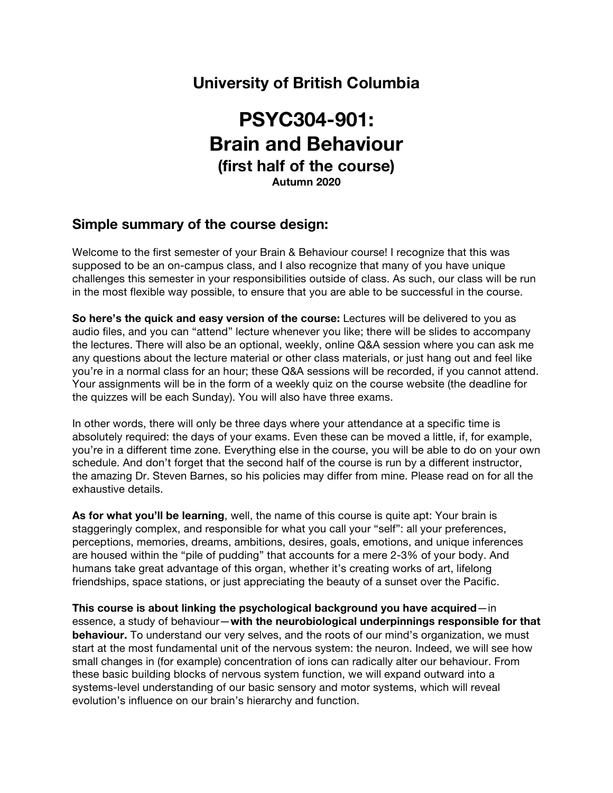# **University of British Columbia**

# **PSYC304-901: Brain and Behaviour (first half of the course) Autumn 2020**

# **Simple summary of the course design:**

Welcome to the first semester of your Brain & Behaviour course! I recognize that this was supposed to be an on-campus class, and I also recognize that many of you have unique challenges this semester in your responsibilities outside of class. As such, our class will be run in the most flexible way possible, to ensure that you are able to be successful in the course.

**So here's the quick and easy version of the course:** Lectures will be delivered to you as audio files, and you can "attend" lecture whenever you like; there will be slides to accompany the lectures. There will also be an optional, weekly, online Q&A session where you can ask me any questions about the lecture material or other class materials, or just hang out and feel like you're in a normal class for an hour; these Q&A sessions will be recorded, if you cannot attend. Your assignments will be in the form of a weekly quiz on the course website (the deadline for the quizzes will be each Sunday). You will also have three exams.

In other words, there will only be three days where your attendance at a specific time is absolutely required: the days of your exams. Even these can be moved a little, if, for example, you're in a different time zone. Everything else in the course, you will be able to do on your own schedule. And don't forget that the second half of the course is run by a different instructor, the amazing Dr. Steven Barnes, so his policies may differ from mine. Please read on for all the exhaustive details.

**As for what you'll be learning**, well, the name of this course is quite apt: Your brain is staggeringly complex, and responsible for what you call your "self": all your preferences, perceptions, memories, dreams, ambitions, desires, goals, emotions, and unique inferences are housed within the "pile of pudding" that accounts for a mere 2-3% of your body. And humans take great advantage of this organ, whether it's creating works of art, lifelong friendships, space stations, or just appreciating the beauty of a sunset over the Pacific.

**This course is about linking the psychological background you have acquired**—in essence, a study of behaviour—**with the neurobiological underpinnings responsible for that behaviour.** To understand our very selves, and the roots of our mind's organization, we must start at the most fundamental unit of the nervous system: the neuron. Indeed, we will see how small changes in (for example) concentration of ions can radically alter our behaviour. From these basic building blocks of nervous system function, we will expand outward into a systems-level understanding of our basic sensory and motor systems, which will reveal evolution's influence on our brain's hierarchy and function.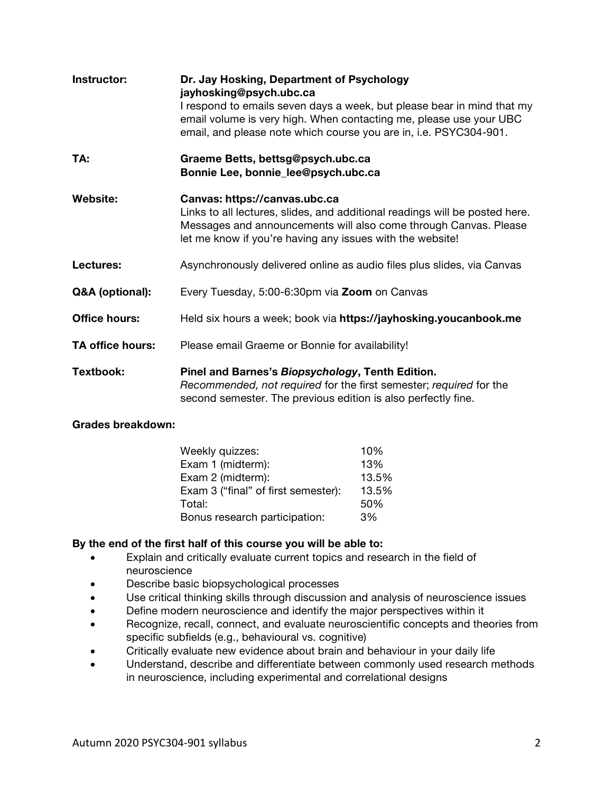| Instructor:          | Dr. Jay Hosking, Department of Psychology<br>jayhosking@psych.ubc.ca<br>I respond to emails seven days a week, but please bear in mind that my<br>email volume is very high. When contacting me, please use your UBC<br>email, and please note which course you are in, i.e. PSYC304-901. |
|----------------------|-------------------------------------------------------------------------------------------------------------------------------------------------------------------------------------------------------------------------------------------------------------------------------------------|
| TA:                  | Graeme Betts, bettsg@psych.ubc.ca<br>Bonnie Lee, bonnie_lee@psych.ubc.ca                                                                                                                                                                                                                  |
| Website:             | Canvas: https://canvas.ubc.ca<br>Links to all lectures, slides, and additional readings will be posted here.<br>Messages and announcements will also come through Canvas. Please<br>let me know if you're having any issues with the website!                                             |
| Lectures:            | Asynchronously delivered online as audio files plus slides, via Canvas                                                                                                                                                                                                                    |
| Q&A (optional):      | Every Tuesday, 5:00-6:30pm via Zoom on Canvas                                                                                                                                                                                                                                             |
| <b>Office hours:</b> | Held six hours a week; book via https://jayhosking.youcanbook.me                                                                                                                                                                                                                          |
| TA office hours:     | Please email Graeme or Bonnie for availability!                                                                                                                                                                                                                                           |
| Textbook:            | Pinel and Barnes's Biopsychology, Tenth Edition.<br>Recommended, not required for the first semester; required for the<br>second semester. The previous edition is also perfectly fine.                                                                                                   |

# **Grades breakdown:**

| Weekly quizzes:                     | 10%   |
|-------------------------------------|-------|
| Exam 1 (midterm):                   | 13%   |
| Exam 2 (midterm):                   | 13.5% |
| Exam 3 ("final" of first semester): | 13.5% |
| Total:                              | 50%   |
| Bonus research participation:       | 3%    |

# **By the end of the first half of this course you will be able to:**

- Explain and critically evaluate current topics and research in the field of neuroscience
- Describe basic biopsychological processes
- Use critical thinking skills through discussion and analysis of neuroscience issues
- Define modern neuroscience and identify the major perspectives within it
- Recognize, recall, connect, and evaluate neuroscientific concepts and theories from specific subfields (e.g., behavioural vs. cognitive)
- Critically evaluate new evidence about brain and behaviour in your daily life
- Understand, describe and differentiate between commonly used research methods in neuroscience, including experimental and correlational designs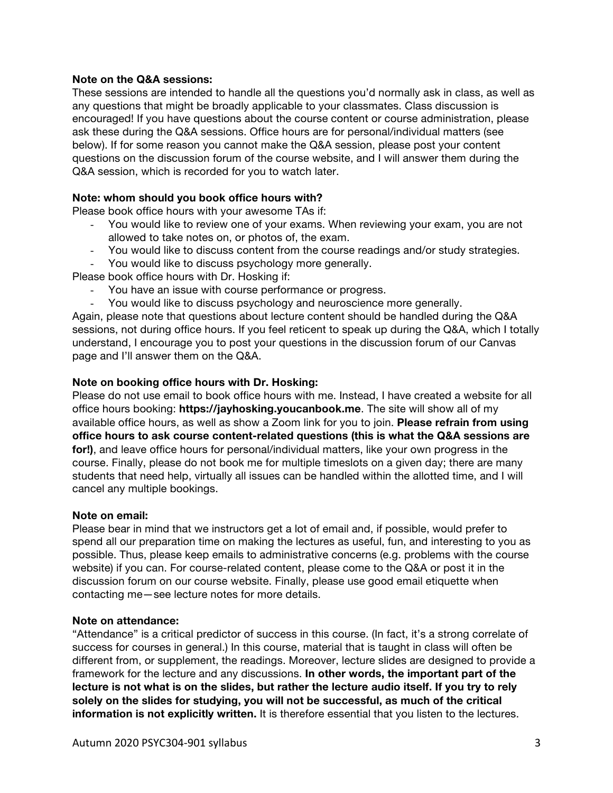### **Note on the Q&A sessions:**

These sessions are intended to handle all the questions you'd normally ask in class, as well as any questions that might be broadly applicable to your classmates. Class discussion is encouraged! If you have questions about the course content or course administration, please ask these during the Q&A sessions. Office hours are for personal/individual matters (see below). If for some reason you cannot make the Q&A session, please post your content questions on the discussion forum of the course website, and I will answer them during the Q&A session, which is recorded for you to watch later.

### **Note: whom should you book office hours with?**

Please book office hours with your awesome TAs if:

- You would like to review one of your exams. When reviewing your exam, you are not allowed to take notes on, or photos of, the exam.
- You would like to discuss content from the course readings and/or study strategies. - You would like to discuss psychology more generally.

Please book office hours with Dr. Hosking if:

- You have an issue with course performance or progress.
- You would like to discuss psychology and neuroscience more generally.

Again, please note that questions about lecture content should be handled during the Q&A sessions, not during office hours. If you feel reticent to speak up during the Q&A, which I totally understand, I encourage you to post your questions in the discussion forum of our Canvas page and I'll answer them on the Q&A.

### **Note on booking office hours with Dr. Hosking:**

Please do not use email to book office hours with me. Instead, I have created a website for all office hours booking: **https://jayhosking.youcanbook.me**. The site will show all of my available office hours, as well as show a Zoom link for you to join. **Please refrain from using office hours to ask course content-related questions (this is what the Q&A sessions are for!)**, and leave office hours for personal/individual matters, like your own progress in the course. Finally, please do not book me for multiple timeslots on a given day; there are many students that need help, virtually all issues can be handled within the allotted time, and I will cancel any multiple bookings.

### **Note on email:**

Please bear in mind that we instructors get a lot of email and, if possible, would prefer to spend all our preparation time on making the lectures as useful, fun, and interesting to you as possible. Thus, please keep emails to administrative concerns (e.g. problems with the course website) if you can. For course-related content, please come to the Q&A or post it in the discussion forum on our course website. Finally, please use good email etiquette when contacting me—see lecture notes for more details.

### **Note on attendance:**

"Attendance" is a critical predictor of success in this course. (In fact, it's a strong correlate of success for courses in general.) In this course, material that is taught in class will often be different from, or supplement, the readings. Moreover, lecture slides are designed to provide a framework for the lecture and any discussions. **In other words, the important part of the lecture is not what is on the slides, but rather the lecture audio itself. If you try to rely solely on the slides for studying, you will not be successful, as much of the critical information is not explicitly written.** It is therefore essential that you listen to the lectures.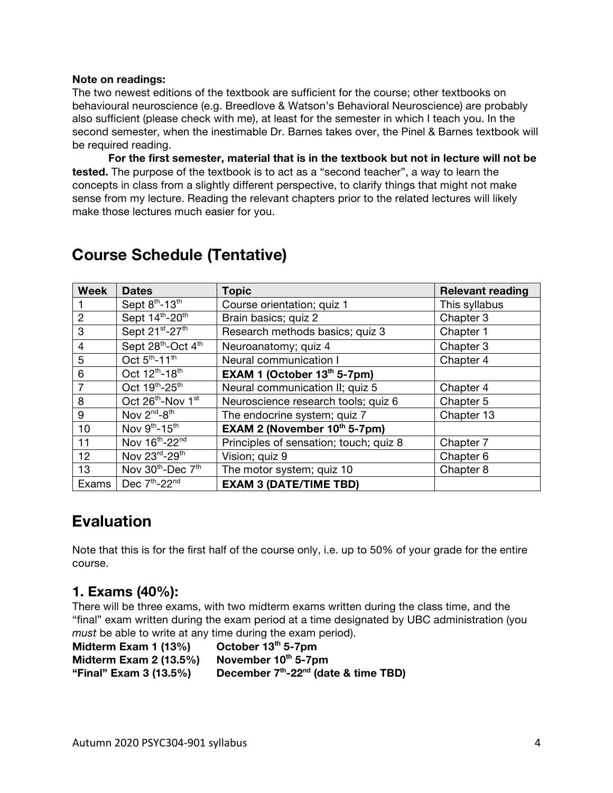### **Note on readings:**

The two newest editions of the textbook are sufficient for the course; other textbooks on behavioural neuroscience (e.g. Breedlove & Watson's Behavioral Neuroscience) are probably also sufficient (please check with me), at least for the semester in which I teach you. In the second semester, when the inestimable Dr. Barnes takes over, the Pinel & Barnes textbook will be required reading.

**For the first semester, material that is in the textbook but not in lecture will not be tested.** The purpose of the textbook is to act as a "second teacher", a way to learn the concepts in class from a slightly different perspective, to clarify things that might not make sense from my lecture. Reading the relevant chapters prior to the related lectures will likely make those lectures much easier for you.

| <b>Week</b>    | <b>Dates</b>                              | <b>Topic</b>                           | <b>Relevant reading</b> |
|----------------|-------------------------------------------|----------------------------------------|-------------------------|
|                | Sept 8th-13th                             | Course orientation; quiz 1             | This syllabus           |
| $\overline{2}$ | Sept 14th-20th                            | Brain basics; quiz 2                   | Chapter 3               |
| 3              | Sept 21st-27th                            | Research methods basics; quiz 3        | Chapter 1               |
| 4              | Sept 28th-Oct 4th                         | Neuroanatomy; quiz 4                   | Chapter 3               |
| 5              | Oct 5 <sup>th</sup> -11 <sup>th</sup>     | Neural communication I                 | Chapter 4               |
| 6              | Oct 12 <sup>th</sup> -18 <sup>th</sup>    | EXAM 1 (October $13th 5-7pm$ )         |                         |
| 7              | Oct 19th-25th                             | Neural communication II; quiz 5        | Chapter 4               |
| 8              | Oct 26th-Nov 1st                          | Neuroscience research tools; quiz 6    | Chapter 5               |
| 9              | Nov $2^{nd}$ - $8^{th}$                   | The endocrine system; quiz 7           | Chapter 13              |
| 10             | Nov 9th-15th                              | <b>EXAM 2 (November 10th 5-7pm)</b>    |                         |
| 11             | Nov 16th-22nd                             | Principles of sensation; touch; quiz 8 | Chapter 7               |
| 12             | Nov 23rd-29th                             | Vision; quiz 9                         | Chapter 6               |
| 13             | Nov 30 <sup>th</sup> -Dec 7 <sup>th</sup> | The motor system; quiz 10              | Chapter 8               |
| Exams          | Dec 7th-22nd                              | <b>EXAM 3 (DATE/TIME TBD)</b>          |                         |

# **Course Schedule (Tentative)**

# **Evaluation**

Note that this is for the first half of the course only, i.e. up to 50% of your grade for the entire course.

# **1. Exams (40%):**

There will be three exams, with two midterm exams written during the class time, and the "final" exam written during the exam period at a time designated by UBC administration (you *must* be able to write at any time during the exam period).

**Midterm Exam 1 (13%) October 13th 5-7pm Midterm Exam 2 (13.5%)** November 10<sup>th</sup> 5-7pm **"Final" Exam 3 (13.5%) December 7th-22nd (date & time TBD)**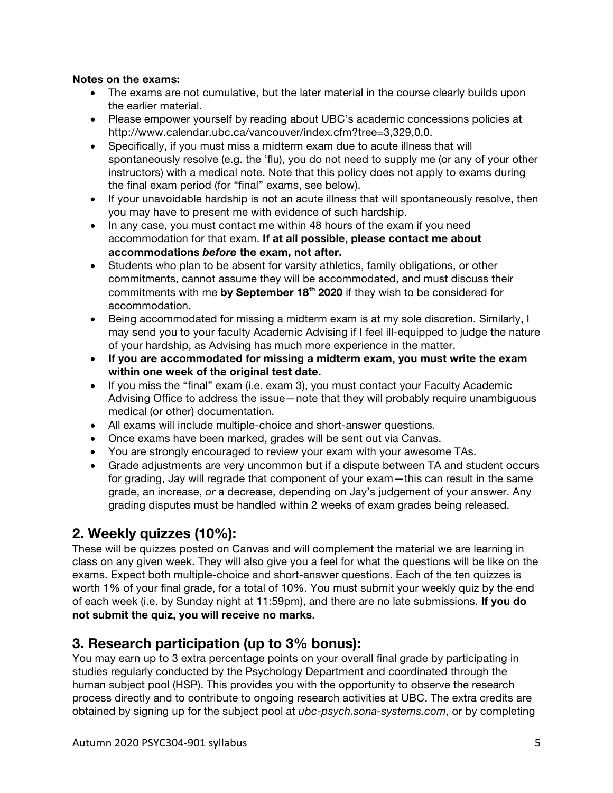# **Notes on the exams:**

- The exams are not cumulative, but the later material in the course clearly builds upon the earlier material.
- Please empower yourself by reading about UBC's academic concessions policies at http://www.calendar.ubc.ca/vancouver/index.cfm?tree=3,329,0,0.
- Specifically, if you must miss a midterm exam due to acute illness that will spontaneously resolve (e.g. the 'flu), you do not need to supply me (or any of your other instructors) with a medical note. Note that this policy does not apply to exams during the final exam period (for "final" exams, see below).
- If your unavoidable hardship is not an acute illness that will spontaneously resolve, then you may have to present me with evidence of such hardship.
- In any case, you must contact me within 48 hours of the exam if you need accommodation for that exam. **If at all possible, please contact me about accommodations** *before* **the exam, not after.**
- Students who plan to be absent for varsity athletics, family obligations, or other commitments, cannot assume they will be accommodated, and must discuss their commitments with me by September 18<sup>th</sup> 2020 if they wish to be considered for accommodation.
- Being accommodated for missing a midterm exam is at my sole discretion. Similarly, I may send you to your faculty Academic Advising if I feel ill-equipped to judge the nature of your hardship, as Advising has much more experience in the matter.
- **If you are accommodated for missing a midterm exam, you must write the exam within one week of the original test date.**
- If you miss the "final" exam (i.e. exam 3), you must contact your Faculty Academic Advising Office to address the issue—note that they will probably require unambiguous medical (or other) documentation.
- All exams will include multiple-choice and short-answer questions.
- Once exams have been marked, grades will be sent out via Canvas.
- You are strongly encouraged to review your exam with your awesome TAs.
- Grade adjustments are very uncommon but if a dispute between TA and student occurs for grading, Jay will regrade that component of your exam—this can result in the same grade, an increase, *or* a decrease, depending on Jay's judgement of your answer. Any grading disputes must be handled within 2 weeks of exam grades being released.

# **2. Weekly quizzes (10%):**

These will be quizzes posted on Canvas and will complement the material we are learning in class on any given week. They will also give you a feel for what the questions will be like on the exams. Expect both multiple-choice and short-answer questions. Each of the ten quizzes is worth 1% of your final grade, for a total of 10%. You must submit your weekly quiz by the end of each week (i.e. by Sunday night at 11:59pm), and there are no late submissions. **If you do not submit the quiz, you will receive no marks.**

# **3. Research participation (up to 3% bonus):**

You may earn up to 3 extra percentage points on your overall final grade by participating in studies regularly conducted by the Psychology Department and coordinated through the human subject pool (HSP). This provides you with the opportunity to observe the research process directly and to contribute to ongoing research activities at UBC. The extra credits are obtained by signing up for the subject pool at *ubc-psych.sona-systems.com*, or by completing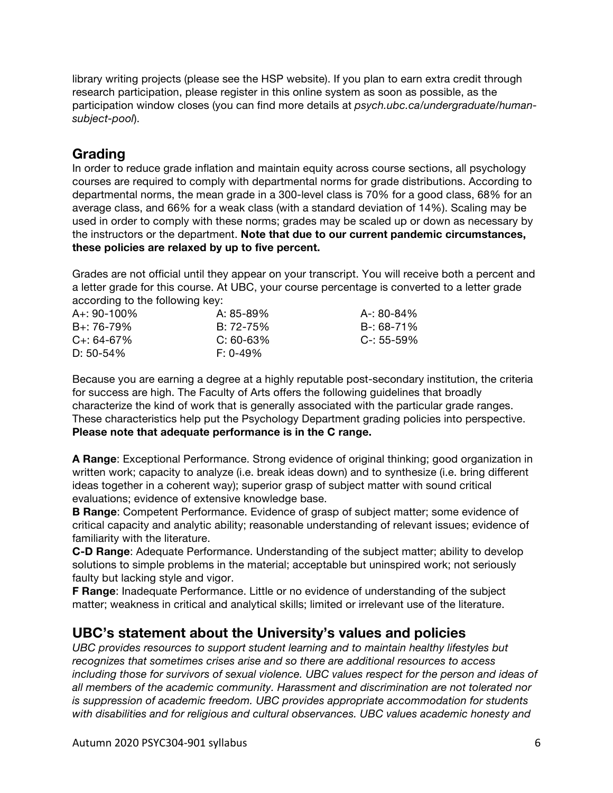library writing projects (please see the HSP website). If you plan to earn extra credit through research participation, please register in this online system as soon as possible, as the participation window closes (you can find more details at *psych.ubc.ca/undergraduate/humansubject-pool*).

# **Grading**

In order to reduce grade inflation and maintain equity across course sections, all psychology courses are required to comply with departmental norms for grade distributions. According to departmental norms, the mean grade in a 300-level class is 70% for a good class, 68% for an average class, and 66% for a weak class (with a standard deviation of 14%). Scaling may be used in order to comply with these norms; grades may be scaled up or down as necessary by the instructors or the department. **Note that due to our current pandemic circumstances, these policies are relaxed by up to five percent.**

Grades are not official until they appear on your transcript. You will receive both a percent and a letter grade for this course. At UBC, your course percentage is converted to a letter grade according to the following key:

| $A + 90 - 100\%$ | A: 85-89%      | A-: 80-84%      |
|------------------|----------------|-----------------|
| $B + 76 - 79\%$  | $B: 72 - 75\%$ | B-: 68-71%      |
| $C_{+}$ : 64-67% | $C: 60-63%$    | $C - 55 - 59\%$ |
| $D: 50-54\%$     | $F: 0-49\%$    |                 |

Because you are earning a degree at a highly reputable post-secondary institution, the criteria for success are high. The Faculty of Arts offers the following guidelines that broadly characterize the kind of work that is generally associated with the particular grade ranges. These characteristics help put the Psychology Department grading policies into perspective. **Please note that adequate performance is in the C range.**

**A Range**: Exceptional Performance. Strong evidence of original thinking; good organization in written work; capacity to analyze (i.e. break ideas down) and to synthesize (i.e. bring different ideas together in a coherent way); superior grasp of subject matter with sound critical evaluations; evidence of extensive knowledge base.

**B Range**: Competent Performance. Evidence of grasp of subject matter; some evidence of critical capacity and analytic ability; reasonable understanding of relevant issues; evidence of familiarity with the literature.

**C-D Range**: Adequate Performance. Understanding of the subject matter; ability to develop solutions to simple problems in the material; acceptable but uninspired work; not seriously faulty but lacking style and vigor.

**F Range**: Inadequate Performance. Little or no evidence of understanding of the subject matter; weakness in critical and analytical skills; limited or irrelevant use of the literature.

# **UBC's statement about the University's values and policies**

*UBC provides resources to support student learning and to maintain healthy lifestyles but recognizes that sometimes crises arise and so there are additional resources to access including those for survivors of sexual violence. UBC values respect for the person and ideas of all members of the academic community. Harassment and discrimination are not tolerated nor is suppression of academic freedom. UBC provides appropriate accommodation for students with disabilities and for religious and cultural observances. UBC values academic honesty and*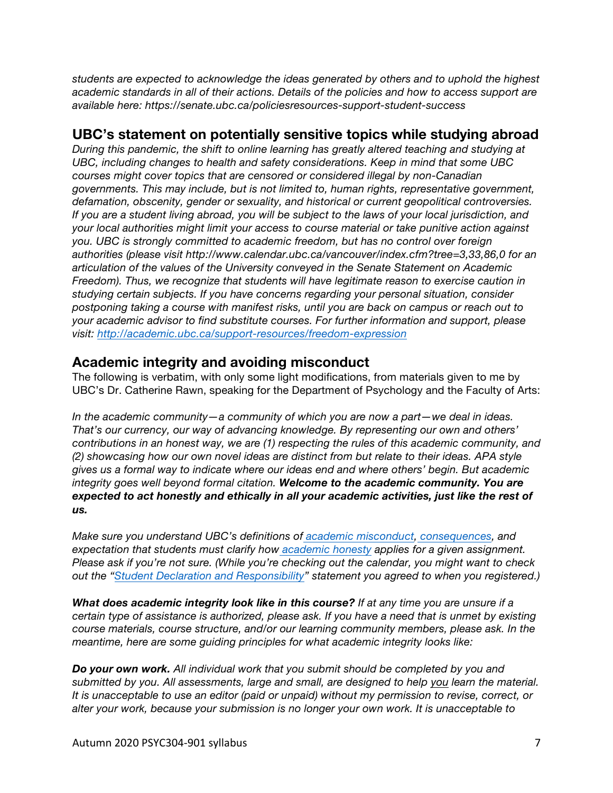*students are expected to acknowledge the ideas generated by others and to uphold the highest academic standards in all of their actions. Details of the policies and how to access support are available here: https://senate.ubc.ca/policiesresources-support-student-success*

# **UBC's statement on potentially sensitive topics while studying abroad**

*During this pandemic, the shift to online learning has greatly altered teaching and studying at UBC, including changes to health and safety considerations. Keep in mind that some UBC courses might cover topics that are censored or considered illegal by non-Canadian governments. This may include, but is not limited to, human rights, representative government, defamation, obscenity, gender or sexuality, and historical or current geopolitical controversies. If you are a student living abroad, you will be subject to the laws of your local jurisdiction, and your local authorities might limit your access to course material or take punitive action against you. UBC is strongly committed to academic freedom, but has no control over foreign authorities (please visit http://www.calendar.ubc.ca/vancouver/index.cfm?tree=3,33,86,0 for an articulation of the values of the University conveyed in the Senate Statement on Academic Freedom). Thus, we recognize that students will have legitimate reason to exercise caution in studying certain subjects. If you have concerns regarding your personal situation, consider postponing taking a course with manifest risks, until you are back on campus or reach out to your academic advisor to find substitute courses. For further information and support, please visit: http://academic.ubc.ca/support-resources/freedom-expression*

# **Academic integrity and avoiding misconduct**

The following is verbatim, with only some light modifications, from materials given to me by UBC's Dr. Catherine Rawn, speaking for the Department of Psychology and the Faculty of Arts:

*In the academic community—a community of which you are now a part—we deal in ideas. That's our currency, our way of advancing knowledge. By representing our own and others' contributions in an honest way, we are (1) respecting the rules of this academic community, and (2) showcasing how our own novel ideas are distinct from but relate to their ideas. APA style gives us a formal way to indicate where our ideas end and where others' begin. But academic integrity goes well beyond formal citation. Welcome to the academic community. You are expected to act honestly and ethically in all your academic activities, just like the rest of us.*

*Make sure you understand UBC's definitions of academic misconduct, consequences, and expectation that students must clarify how academic honesty applies for a given assignment. Please ask if you're not sure. (While you're checking out the calendar, you might want to check out the "Student Declaration and Responsibility" statement you agreed to when you registered.)*

*What does academic integrity look like in this course? If at any time you are unsure if a certain type of assistance is authorized, please ask. If you have a need that is unmet by existing course materials, course structure, and/or our learning community members, please ask. In the meantime, here are some guiding principles for what academic integrity looks like:*

*Do your own work. All individual work that you submit should be completed by you and submitted by you. All assessments, large and small, are designed to help you learn the material. It is unacceptable to use an editor (paid or unpaid) without my permission to revise, correct, or alter your work, because your submission is no longer your own work. It is unacceptable to*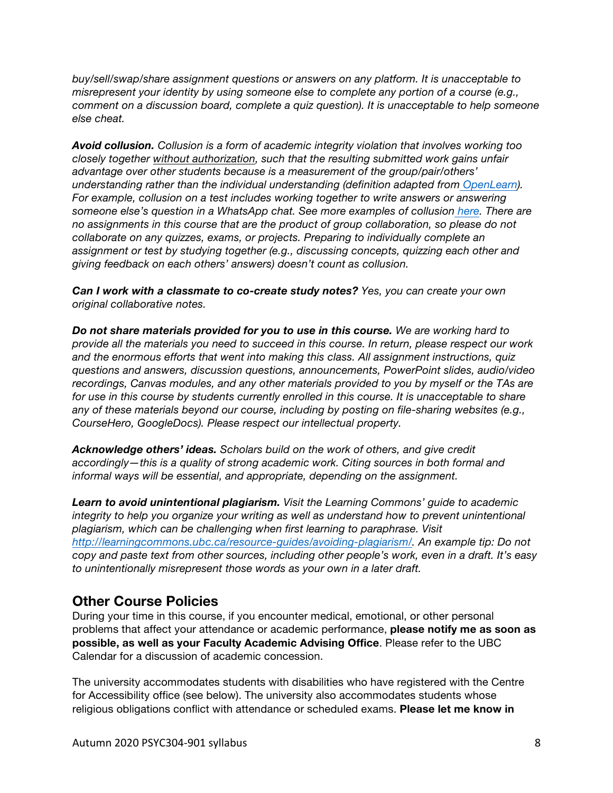*buy/sell/swap/share assignment questions or answers on any platform. It is unacceptable to misrepresent your identity by using someone else to complete any portion of a course (e.g., comment on a discussion board, complete a quiz question). It is unacceptable to help someone else cheat.*

*Avoid collusion. Collusion is a form of academic integrity violation that involves working too closely together without authorization, such that the resulting submitted work gains unfair advantage over other students because is a measurement of the group/pair/others' understanding rather than the individual understanding (definition adapted from OpenLearn). For example, collusion on a test includes working together to write answers or answering someone else's question in a WhatsApp chat. See more examples of collusion here. There are no assignments in this course that are the product of group collaboration, so please do not collaborate on any quizzes, exams, or projects. Preparing to individually complete an assignment or test by studying together (e.g., discussing concepts, quizzing each other and giving feedback on each others' answers) doesn't count as collusion.*

*Can I work with a classmate to co-create study notes? Yes, you can create your own original collaborative notes.*

*Do not share materials provided for you to use in this course. We are working hard to provide all the materials you need to succeed in this course. In return, please respect our work and the enormous efforts that went into making this class. All assignment instructions, quiz questions and answers, discussion questions, announcements, PowerPoint slides, audio/video recordings, Canvas modules, and any other materials provided to you by myself or the TAs are for use in this course by students currently enrolled in this course. It is unacceptable to share any of these materials beyond our course, including by posting on file-sharing websites (e.g., CourseHero, GoogleDocs). Please respect our intellectual property.*

*Acknowledge others' ideas. Scholars build on the work of others, and give credit accordingly—this is a quality of strong academic work. Citing sources in both formal and informal ways will be essential, and appropriate, depending on the assignment.*

*Learn to avoid unintentional plagiarism. Visit the Learning Commons' guide to academic integrity to help you organize your writing as well as understand how to prevent unintentional plagiarism, which can be challenging when first learning to paraphrase. Visit http://learningcommons.ubc.ca/resource-guides/avoiding-plagiarism/. An example tip: Do not copy and paste text from other sources, including other people's work, even in a draft. It's easy to unintentionally misrepresent those words as your own in a later draft.*

# **Other Course Policies**

During your time in this course, if you encounter medical, emotional, or other personal problems that affect your attendance or academic performance, **please notify me as soon as possible, as well as your Faculty Academic Advising Office**. Please refer to the UBC Calendar for a discussion of academic concession.

The university accommodates students with disabilities who have registered with the Centre for Accessibility office (see below). The university also accommodates students whose religious obligations conflict with attendance or scheduled exams. **Please let me know in**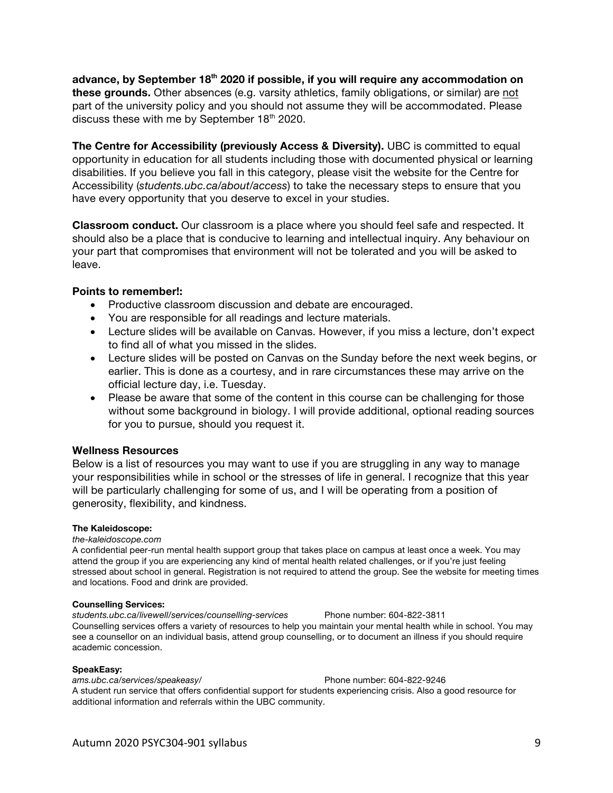**advance, by September 18th 2020 if possible, if you will require any accommodation on these grounds.** Other absences (e.g. varsity athletics, family obligations, or similar) are not part of the university policy and you should not assume they will be accommodated. Please discuss these with me by September  $18<sup>th</sup>$  2020.

**The Centre for Accessibility (previously Access & Diversity).** UBC is committed to equal opportunity in education for all students including those with documented physical or learning disabilities. If you believe you fall in this category, please visit the website for the Centre for Accessibility (*students.ubc.ca/about/access*) to take the necessary steps to ensure that you have every opportunity that you deserve to excel in your studies.

**Classroom conduct.** Our classroom is a place where you should feel safe and respected. It should also be a place that is conducive to learning and intellectual inquiry. Any behaviour on your part that compromises that environment will not be tolerated and you will be asked to leave.

### **Points to remember!:**

- Productive classroom discussion and debate are encouraged.
- You are responsible for all readings and lecture materials.
- Lecture slides will be available on Canvas. However, if you miss a lecture, don't expect to find all of what you missed in the slides.
- Lecture slides will be posted on Canvas on the Sunday before the next week begins, or earlier. This is done as a courtesy, and in rare circumstances these may arrive on the official lecture day, i.e. Tuesday.
- Please be aware that some of the content in this course can be challenging for those without some background in biology. I will provide additional, optional reading sources for you to pursue, should you request it.

### **Wellness Resources**

Below is a list of resources you may want to use if you are struggling in any way to manage your responsibilities while in school or the stresses of life in general. I recognize that this year will be particularly challenging for some of us, and I will be operating from a position of generosity, flexibility, and kindness.

### **The Kaleidoscope:**

#### *the-kaleidoscope.com*

A confidential peer-run mental health support group that takes place on campus at least once a week. You may attend the group if you are experiencing any kind of mental health related challenges, or if you're just feeling stressed about school in general. Registration is not required to attend the group. See the website for meeting times and locations. Food and drink are provided.

#### **Counselling Services:**

*students.ubc.ca/livewell/services/counselling-services* Phone number: 604-822-3811 Counselling services offers a variety of resources to help you maintain your mental health while in school. You may see a counsellor on an individual basis, attend group counselling, or to document an illness if you should require academic concession.

#### **SpeakEasy:**

*ams.ubc.ca/services/speakeasy/* Phone number: 604-822-9246 A student run service that offers confidential support for students experiencing crisis. Also a good resource for additional information and referrals within the UBC community.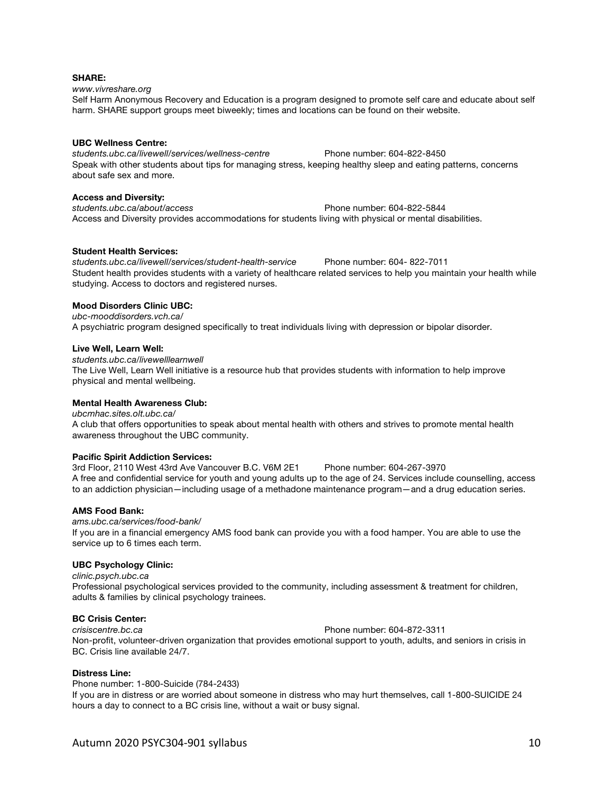#### **SHARE:**

*www.vivreshare.org* 

Self Harm Anonymous Recovery and Education is a program designed to promote self care and educate about self harm. SHARE support groups meet biweekly; times and locations can be found on their website.

#### **UBC Wellness Centre:**

*students.ubc.ca/livewell/services/wellness-centre* Phone number: 604-822-8450 Speak with other students about tips for managing stress, keeping healthy sleep and eating patterns, concerns about safe sex and more.

#### **Access and Diversity:**

*students.ubc.ca/about/access* Phone number: 604-822-5844 Access and Diversity provides accommodations for students living with physical or mental disabilities.

#### **Student Health Services:**

*students.ubc.ca/livewell/services/student-health-service* Phone number: 604- 822-7011 Student health provides students with a variety of healthcare related services to help you maintain your health while studying. Access to doctors and registered nurses.

#### **Mood Disorders Clinic UBC:**

*ubc-mooddisorders.vch.ca/*  A psychiatric program designed specifically to treat individuals living with depression or bipolar disorder.

#### **Live Well, Learn Well:**

*students.ubc.ca/livewelllearnwell* 

The Live Well, Learn Well initiative is a resource hub that provides students with information to help improve physical and mental wellbeing.

### **Mental Health Awareness Club:**

*ubcmhac.sites.olt.ubc.ca/*  A club that offers opportunities to speak about mental health with others and strives to promote mental health awareness throughout the UBC community.

#### **Pacific Spirit Addiction Services:**

3rd Floor, 2110 West 43rd Ave Vancouver B.C. V6M 2E1 Phone number: 604-267-3970 A free and confidential service for youth and young adults up to the age of 24. Services include counselling, access to an addiction physician—including usage of a methadone maintenance program—and a drug education series.

#### **AMS Food Bank:**

*ams.ubc.ca/services/food-bank/*  If you are in a financial emergency AMS food bank can provide you with a food hamper. You are able to use the service up to 6 times each term.

#### **UBC Psychology Clinic:**

*clinic.psych.ubc.ca* 

Professional psychological services provided to the community, including assessment & treatment for children, adults & families by clinical psychology trainees.

### **BC Crisis Center:**

*crisiscentre.bc.ca* Phone number: 604-872-3311 Non-profit, volunteer-driven organization that provides emotional support to youth, adults, and seniors in crisis in BC. Crisis line available 24/7.

#### **Distress Line:**

Phone number: 1-800-Suicide (784-2433) If you are in distress or are worried about someone in distress who may hurt themselves, call 1-800-SUICIDE 24 hours a day to connect to a BC crisis line, without a wait or busy signal.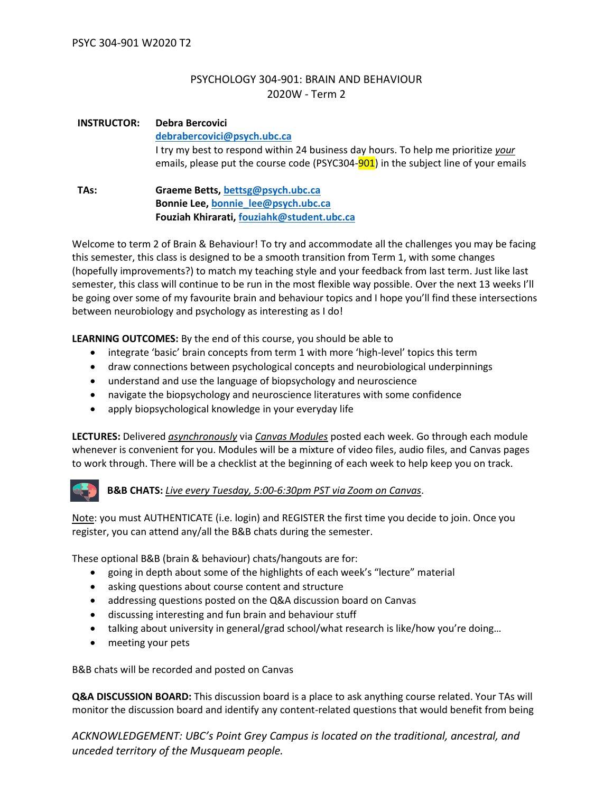# PSYCHOLOGY 304-901: BRAIN AND BEHAVIOUR 2020W - Term 2

# **INSTRUCTOR: Debra Bercovici [debrabercovici@psych.ubc.ca](mailto:debrabercovici@psych.ubc.ca)**

I try my best to respond within 24 business day hours. To help me prioritize *your* emails, please put the course code (PSYC304-901) in the subject line of your emails

### **TAs: Graeme Betts, [bettsg@psych.ubc.ca](mailto:bettsg@psych.ubc.ca) Bonnie Lee, [bonnie\\_lee@psych.ubc.ca](mailto:bonnie_lee@psych.ubc.ca) Fouziah Khirarati, [fouziah](mailto:fouziah.khairati@alumni.ubc.ca)[k@student.ubc.ca](mailto:k@student.ubc.ca)**

Welcome to term 2 of Brain & Behaviour! To try and accommodate all the challenges you may be facing this semester, this class is designed to be a smooth transition from Term 1, with some changes (hopefully improvements?) to match my teaching style and your feedback from last term. Just like last semester, this class will continue to be run in the most flexible way possible. Over the next 13 weeks I'll be going over some of my favourite brain and behaviour topics and I hope you'll find these intersections between neurobiology and psychology as interesting as I do!

**LEARNING OUTCOMES:** By the end of this course, you should be able to

- integrate 'basic' brain concepts from term 1 with more 'high-level' topics this term
- draw connections between psychological concepts and neurobiological underpinnings
- understand and use the language of biopsychology and neuroscience
- navigate the biopsychology and neuroscience literatures with some confidence
- apply biopsychological knowledge in your everyday life

**LECTURES:** Delivered *asynchronously* via *Canvas Modules* posted each week. Go through each module whenever is convenient for you. Modules will be a mixture of video files, audio files, and Canvas pages to work through. There will be a checklist at the beginning of each week to help keep you on track.

# **B&B CHATS:** *Live every Tuesday, 5:00-6:30pm PST via Zoom on Canvas*.

Note: you must AUTHENTICATE (i.e. login) and REGISTER the first time you decide to join. Once you register, you can attend any/all the B&B chats during the semester.

These optional B&B (brain & behaviour) chats/hangouts are for:

- going in depth about some of the highlights of each week's "lecture" material
- asking questions about course content and structure
- addressing questions posted on the Q&A discussion board on Canvas
- discussing interesting and fun brain and behaviour stuff
- talking about university in general/grad school/what research is like/how you're doing...
- meeting your pets

B&B chats will be recorded and posted on Canvas

**Q&A DISCUSSION BOARD:** This discussion board is a place to ask anything course related. Your TAs will monitor the discussion board and identify any content-related questions that would benefit from being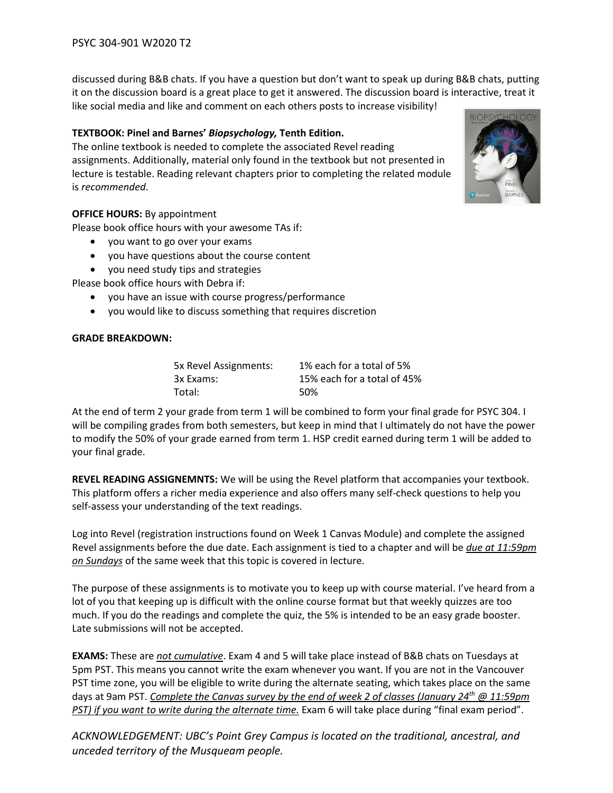discussed during B&B chats. If you have a question but don't want to speak up during B&B chats, putting it on the discussion board is a great place to get it answered. The discussion board is interactive, treat it

like social media and like and comment on each others posts to increase visibility!

# **TEXTBOOK: Pinel and Barnes'** *Biopsychology,* **Tenth Edition.**

The online textbook is needed to complete the associated Revel reading assignments. Additionally, material only found in the textbook but not presented in lecture is testable. Reading relevant chapters prior to completing the related module is *recommended*.

# **OFFICE HOURS:** By appointment

Please book office hours with your awesome TAs if:

- you want to go over your exams
- you have questions about the course content
- you need study tips and strategies

Please book office hours with Debra if:

- you have an issue with course progress/performance
- you would like to discuss something that requires discretion

# **GRADE BREAKDOWN:**

| 5x Revel Assignments: | 1% each for a total of 5%   |
|-----------------------|-----------------------------|
| 3x Exams:             | 15% each for a total of 45% |
| Total:                | 50%                         |

At the end of term 2 your grade from term 1 will be combined to form your final grade for PSYC 304. I will be compiling grades from both semesters, but keep in mind that I ultimately do not have the power to modify the 50% of your grade earned from term 1. HSP credit earned during term 1 will be added to your final grade.

**REVEL READING ASSIGNEMNTS:** We will be using the Revel platform that accompanies your textbook. This platform offers a richer media experience and also offers many self-check questions to help you self-assess your understanding of the text readings.

Log into Revel (registration instructions found on Week 1 Canvas Module) and complete the assigned Revel assignments before the due date. Each assignment is tied to a chapter and will be *due at 11:59pm on Sundays* of the same week that this topic is covered in lecture.

The purpose of these assignments is to motivate you to keep up with course material. I've heard from a lot of you that keeping up is difficult with the online course format but that weekly quizzes are too much. If you do the readings and complete the quiz, the 5% is intended to be an easy grade booster. Late submissions will not be accepted.

**EXAMS:** These are *not cumulative*. Exam 4 and 5 will take place instead of B&B chats on Tuesdays at 5pm PST. This means you cannot write the exam whenever you want. If you are not in the Vancouver PST time zone, you will be eligible to write during the alternate seating, which takes place on the same days at 9am PST. *Complete the Canvas survey by the end of week 2 of classes (January 24th @ 11:59pm PST) if you want to write during the alternate time.* Exam 6 will take place during "final exam period".

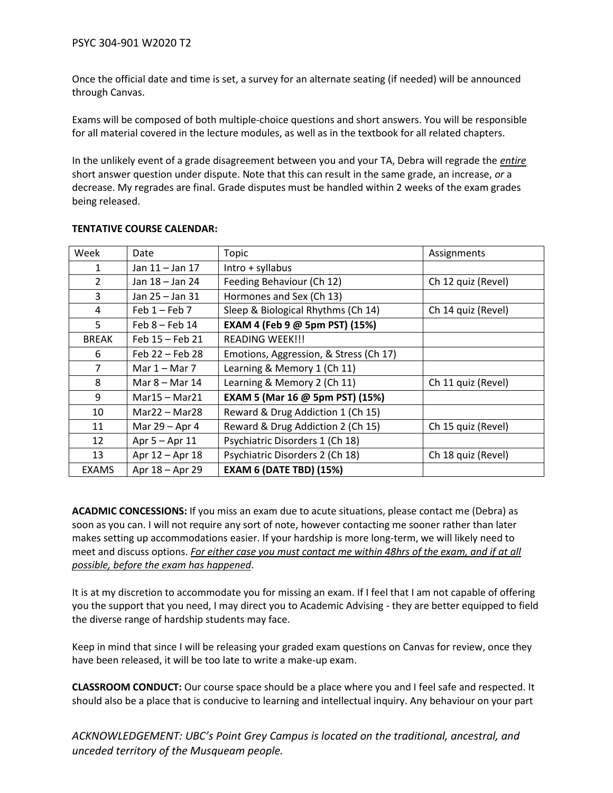Once the official date and time is set, a survey for an alternate seating (if needed) will be announced through Canvas.

Exams will be composed of both multiple-choice questions and short answers. You will be responsible for all material covered in the lecture modules, as well as in the textbook for all related chapters.

In the unlikely event of a grade disagreement between you and your TA, Debra will regrade the *entire* short answer question under dispute. Note that this can result in the same grade, an increase, *or* a decrease. My regrades are final. Grade disputes must be handled within 2 weeks of the exam grades being released.

| Week           | Date              | Topic                                  | Assignments        |
|----------------|-------------------|----------------------------------------|--------------------|
| 1              | Jan 11 - Jan 17   | Intro + syllabus                       |                    |
| $\overline{2}$ | Jan 18 – Jan 24   | Feeding Behaviour (Ch 12)              | Ch 12 quiz (Revel) |
| 3              | Jan 25 - Jan 31   | Hormones and Sex (Ch 13)               |                    |
| 4              | Feb $1$ – Feb 7   | Sleep & Biological Rhythms (Ch 14)     | Ch 14 quiz (Revel) |
| 5              | $Feb 8 - Feb 14$  | EXAM 4 (Feb 9 @ 5pm PST) (15%)         |                    |
| <b>BREAK</b>   | Feb $15$ – Feb 21 | <b>READING WEEK!!!</b>                 |                    |
| 6              | Feb 22 - Feb 28   | Emotions, Aggression, & Stress (Ch 17) |                    |
| 7              | Mar $1 -$ Mar 7   | Learning & Memory 1 (Ch 11)            |                    |
| 8              | Mar $8 -$ Mar 14  | Learning & Memory 2 (Ch 11)            | Ch 11 quiz (Revel) |
| 9              | Mar15 - Mar21     | EXAM 5 (Mar 16 @ 5pm PST) (15%)        |                    |
| 10             | $Mar22 - Mar28$   | Reward & Drug Addiction 1 (Ch 15)      |                    |
| 11             | Mar 29 - Apr 4    | Reward & Drug Addiction 2 (Ch 15)      | Ch 15 quiz (Revel) |
| 12             | Apr $5 -$ Apr 11  | Psychiatric Disorders 1 (Ch 18)        |                    |
| 13             | Apr 12 - Apr 18   | Psychiatric Disorders 2 (Ch 18)        | Ch 18 quiz (Revel) |
| <b>EXAMS</b>   | Apr 18 - Apr 29   | <b>EXAM 6 (DATE TBD) (15%)</b>         |                    |

### **TENTATIVE COURSE CALENDAR:**

**ACADMIC CONCESSIONS:** If you miss an exam due to acute situations, please contact me (Debra) as soon as you can. I will not require any sort of note, however contacting me sooner rather than later makes setting up accommodations easier. If your hardship is more long-term, we will likely need to meet and discuss options. *For either case you must contact me within 48hrs of the exam, and if at all possible, before the exam has happened*.

It is at my discretion to accommodate you for missing an exam. If I feel that I am not capable of offering you the support that you need, I may direct you to Academic Advising - they are better equipped to field the diverse range of hardship students may face.

Keep in mind that since I will be releasing your graded exam questions on Canvas for review, once they have been released, it will be too late to write a make-up exam.

**CLASSROOM CONDUCT:** Our course space should be a place where you and I feel safe and respected. It should also be a place that is conducive to learning and intellectual inquiry. Any behaviour on your part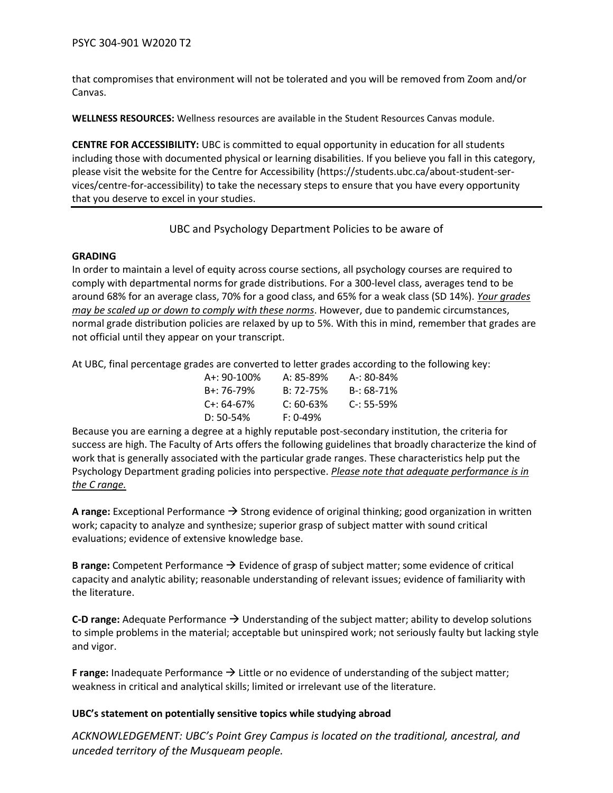that compromises that environment will not be tolerated and you will be removed from Zoom and/or Canvas.

**WELLNESS RESOURCES:** Wellness resources are available in the Student Resources Canvas module.

**CENTRE FOR ACCESSIBILITY:** UBC is committed to equal opportunity in education for all students including those with documented physical or learning disabilities. If you believe you fall in this category, please visit the website for the Centre for Accessibility (https://students.ubc.ca/about-student-services/centre-for-accessibility) to take the necessary steps to ensure that you have every opportunity that you deserve to excel in your studies.

# UBC and Psychology Department Policies to be aware of

### **GRADING**

In order to maintain a level of equity across course sections, all psychology courses are required to comply with departmental norms for grade distributions. For a 300-level class, averages tend to be around 68% for an average class, 70% for a good class, and 65% for a weak class (SD 14%). *Your grades may be scaled up or down to comply with these norms*. However, due to pandemic circumstances, normal grade distribution policies are relaxed by up to 5%. With this in mind, remember that grades are not official until they appear on your transcript.

At UBC, final percentage grades are converted to letter grades according to the following key:

| A+: 90-100% | A: 85-89%     | A-: 80-84%     |
|-------------|---------------|----------------|
| B+: 76-79%  | $B: 72 - 75%$ | $B - 68 - 71%$ |
| C+: 64-67%  | $C: 60-63%$   | $C - 55 - 59%$ |
| D: 50-54%   | $F: 0-49%$    |                |

Because you are earning a degree at a highly reputable post-secondary institution, the criteria for success are high. The Faculty of Arts offers the following guidelines that broadly characterize the kind of work that is generally associated with the particular grade ranges. These characteristics help put the Psychology Department grading policies into perspective. *Please note that adequate performance is in the C range.*

**A range:** Exceptional Performance → Strong evidence of original thinking; good organization in written work; capacity to analyze and synthesize; superior grasp of subject matter with sound critical evaluations; evidence of extensive knowledge base.

**B range:** Competent Performance → Evidence of grasp of subject matter; some evidence of critical capacity and analytic ability; reasonable understanding of relevant issues; evidence of familiarity with the literature.

**C-D range:** Adequate Performance  $\rightarrow$  Understanding of the subject matter; ability to develop solutions to simple problems in the material; acceptable but uninspired work; not seriously faulty but lacking style and vigor.

**F range:** Inadequate Performance → Little or no evidence of understanding of the subject matter; weakness in critical and analytical skills; limited or irrelevant use of the literature.

# **UBC's statement on potentially sensitive topics while studying abroad**